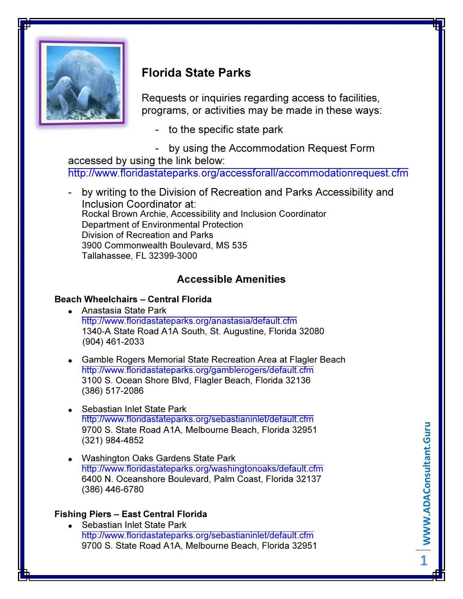

# Florida State Parks

Requests or inquiries regarding access to facilities, programs, or activities may be made in these ways:

- to the specific state park
- by using the Accommodation Request Form

accessed by using the link below: http://www.floridastateparks.org/accessforall/accommodationrequest.cfm

- by writing to the Division of Recreation and Parks Accessibility and Inclusion Coordinator at: Rockal Brown Archie, Accessibility and Inclusion Coordinator Department of Environmental Protection Division of Recreation and Parks 3900 Commonwealth Boulevard, MS 535 Tallahassee, FL 32399-3000

## Accessible Amenities

### Beach Wheelchairs – Central Florida

- Anastasia State Park http://www.floridastateparks.org/anastasia/default.cfm 1340-A State Road A1A South, St. Augustine, Florida 32080 (904) 461-2033
- Gamble Rogers Memorial State Recreation Area at Flagler Beach http://www.floridastateparks.org/gamblerogers/default.cfm 3100 S. Ocean Shore Blvd, Flagler Beach, Florida 32136 (386) 517-2086
- Sebastian Inlet State Park http://www.floridastateparks.org/sebastianinlet/default.cfm 9700 S. State Road A1A, Melbourne Beach, Florida 32951 (321) 984-4852
- Washington Oaks Gardens State Park http://www.floridastateparks.org/washingtonoaks/default.cfm 6400 N. Oceanshore Boulevard, Palm Coast, Florida 32137 (386) 446-6780

### Fishing Piers – East Central Florida

• Sebastian Inlet State Park http://www.floridastateparks.org/sebastianinlet/default.cfm 9700 S. State Road A1A, Melbourne Beach, Florida 32951